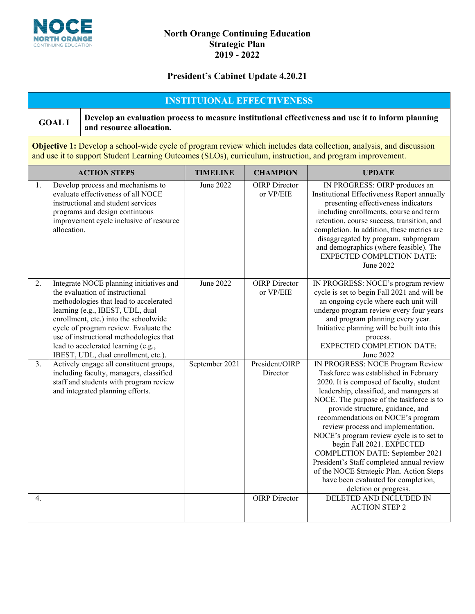

### **North Orange Continuing Education Strategic Plan 2019 - 2022**

### **President's Cabinet Update 4.20.21**

# **INSTITUIONAL EFFECTIVENESS**

**GOAL I Develop an evaluation process to measure institutional effectiveness and use it to inform planning and resource allocation.**

**Objective 1:** Develop a school-wide cycle of program review which includes data collection, analysis, and discussion and use it to support Student Learning Outcomes (SLOs), curriculum, instruction, and program improvement.

|                  | <b>ACTION STEPS</b>                                                                                                                                                                                                                                                                                                                                                 | <b>TIMELINE</b> | <b>CHAMPION</b>                   | <b>UPDATE</b>                                                                                                                                                                                                                                                                                                                                                                                                                                                                                                                                                                                           |
|------------------|---------------------------------------------------------------------------------------------------------------------------------------------------------------------------------------------------------------------------------------------------------------------------------------------------------------------------------------------------------------------|-----------------|-----------------------------------|---------------------------------------------------------------------------------------------------------------------------------------------------------------------------------------------------------------------------------------------------------------------------------------------------------------------------------------------------------------------------------------------------------------------------------------------------------------------------------------------------------------------------------------------------------------------------------------------------------|
| 1.               | Develop process and mechanisms to<br>evaluate effectiveness of all NOCE<br>instructional and student services<br>programs and design continuous<br>improvement cycle inclusive of resource<br>allocation.                                                                                                                                                           | June 2022       | <b>OIRP</b> Director<br>or VP/EIE | IN PROGRESS: OIRP produces an<br>Institutional Effectiveness Report annually<br>presenting effectiveness indicators<br>including enrollments, course and term<br>retention, course success, transition, and<br>completion. In addition, these metrics are<br>disaggregated by program, subprogram<br>and demographics (where feasible). The<br><b>EXPECTED COMPLETION DATE:</b><br>June 2022                                                                                                                                                                                                            |
| 2.               | Integrate NOCE planning initiatives and<br>the evaluation of instructional<br>methodologies that lead to accelerated<br>learning (e.g., IBEST, UDL, dual<br>enrollment, etc.) into the schoolwide<br>cycle of program review. Evaluate the<br>use of instructional methodologies that<br>lead to accelerated learning (e.g.,<br>IBEST, UDL, dual enrollment, etc.). | June 2022       | <b>OIRP</b> Director<br>or VP/EIE | IN PROGRESS: NOCE's program review<br>cycle is set to begin Fall 2021 and will be<br>an ongoing cycle where each unit will<br>undergo program review every four years<br>and program planning every year.<br>Initiative planning will be built into this<br>process.<br><b>EXPECTED COMPLETION DATE:</b><br>June 2022                                                                                                                                                                                                                                                                                   |
| 3.               | Actively engage all constituent groups,<br>including faculty, managers, classified<br>staff and students with program review<br>and integrated planning efforts.                                                                                                                                                                                                    | September 2021  | President/OIRP<br>Director        | IN PROGRESS: NOCE Program Review<br>Taskforce was established in February<br>2020. It is composed of faculty, student<br>leadership, classified, and managers at<br>NOCE. The purpose of the taskforce is to<br>provide structure, guidance, and<br>recommendations on NOCE's program<br>review process and implementation.<br>NOCE's program review cycle is to set to<br>begin Fall 2021. EXPECTED<br><b>COMPLETION DATE: September 2021</b><br>President's Staff completed annual review<br>of the NOCE Strategic Plan. Action Steps<br>have been evaluated for completion,<br>deletion or progress. |
| $\overline{4}$ . |                                                                                                                                                                                                                                                                                                                                                                     |                 | <b>OIRP</b> Director              | DELETED AND INCLUDED IN<br><b>ACTION STEP 2</b>                                                                                                                                                                                                                                                                                                                                                                                                                                                                                                                                                         |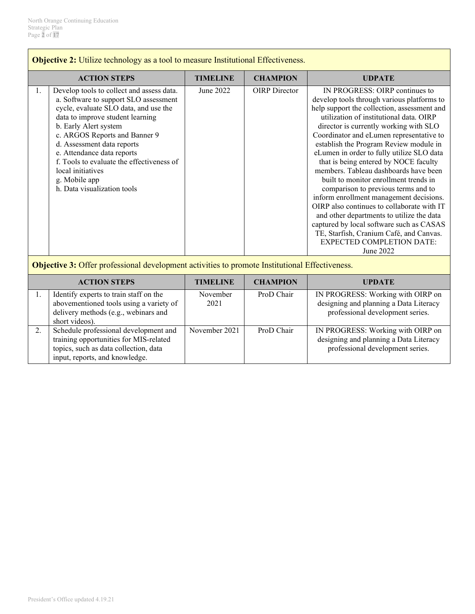|    | <b>Objective 2:</b> Utilize technology as a tool to measure Institutional Effectiveness.                                                                                                                                                                                                                                                                                                                |                  |                      |                                                                                                                                                                                                                                                                                                                                                                                                                                                                                                                                                                                                                                                                                                                                                                                                     |  |
|----|---------------------------------------------------------------------------------------------------------------------------------------------------------------------------------------------------------------------------------------------------------------------------------------------------------------------------------------------------------------------------------------------------------|------------------|----------------------|-----------------------------------------------------------------------------------------------------------------------------------------------------------------------------------------------------------------------------------------------------------------------------------------------------------------------------------------------------------------------------------------------------------------------------------------------------------------------------------------------------------------------------------------------------------------------------------------------------------------------------------------------------------------------------------------------------------------------------------------------------------------------------------------------------|--|
|    | <b>ACTION STEPS</b>                                                                                                                                                                                                                                                                                                                                                                                     | <b>TIMELINE</b>  | <b>CHAMPION</b>      | <b>UDPATE</b>                                                                                                                                                                                                                                                                                                                                                                                                                                                                                                                                                                                                                                                                                                                                                                                       |  |
| 1. | Develop tools to collect and assess data.<br>a. Software to support SLO assessment<br>cycle, evaluate SLO data, and use the<br>data to improve student learning<br>b. Early Alert system<br>c. ARGOS Reports and Banner 9<br>d. Assessment data reports<br>e. Attendance data reports<br>f. Tools to evaluate the effectiveness of<br>local initiatives<br>g. Mobile app<br>h. Data visualization tools | June 2022        | <b>OIRP</b> Director | IN PROGRESS: OIRP continues to<br>develop tools through various platforms to<br>help support the collection, assessment and<br>utilization of institutional data. OIRP<br>director is currently working with SLO<br>Coordinator and eLumen representative to<br>establish the Program Review module in<br>eLumen in order to fully utilize SLO data<br>that is being entered by NOCE faculty<br>members. Tableau dashboards have been<br>built to monitor enrollment trends in<br>comparison to previous terms and to<br>inform enrollment management decisions.<br>OIRP also continues to collaborate with IT<br>and other departments to utilize the data<br>captured by local software such as CASAS<br>TE, Starfish, Cranium Café, and Canvas.<br><b>EXPECTED COMPLETION DATE:</b><br>June 2022 |  |
|    | <b>Objective 3:</b> Offer professional development activities to promote Institutional Effectiveness.                                                                                                                                                                                                                                                                                                   |                  |                      |                                                                                                                                                                                                                                                                                                                                                                                                                                                                                                                                                                                                                                                                                                                                                                                                     |  |
|    | <b>ACTION STEPS</b>                                                                                                                                                                                                                                                                                                                                                                                     | <b>TIMELINE</b>  | <b>CHAMPION</b>      | <b>UPDATE</b>                                                                                                                                                                                                                                                                                                                                                                                                                                                                                                                                                                                                                                                                                                                                                                                       |  |
| 1. | Identify experts to train staff on the<br>abovementioned tools using a variety of<br>delivery methods (e.g., webinars and<br>short videos).                                                                                                                                                                                                                                                             | November<br>2021 | ProD Chair           | IN PROGRESS: Working with OIRP on<br>designing and planning a Data Literacy<br>professional development series.                                                                                                                                                                                                                                                                                                                                                                                                                                                                                                                                                                                                                                                                                     |  |
| 2. | Schedule professional development and<br>training opportunities for MIS-related<br>topics, such as data collection, data<br>input, reports, and knowledge.                                                                                                                                                                                                                                              | November 2021    | ProD Chair           | IN PROGRESS: Working with OIRP on<br>designing and planning a Data Literacy<br>professional development series.                                                                                                                                                                                                                                                                                                                                                                                                                                                                                                                                                                                                                                                                                     |  |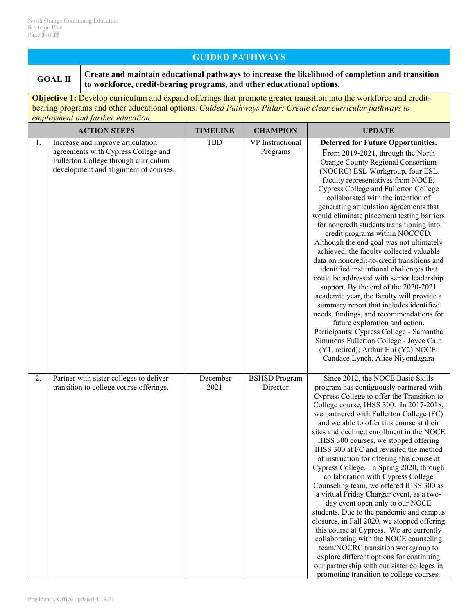# **GUIDED PATHWAYS**

**GOAL II Create and maintain educational pathways to increase the likelihood of completion and transition to workforce, credit-bearing programs, and other educational options.**

**Objective 1:** Develop curriculum and expand offerings that promote greater transition into the workforce and creditbearing programs and other educational options. *Guided Pathways Pillar: Create clear curricular pathways to employment and further education.*

|    | <b>ACTION STEPS</b>                                                                                                                                       | <b>TIMELINE</b>  | <b>CHAMPION</b>                  | <b>UPDATE</b>                                                                                                                                                                                                                                                                                                                                                                                                                                                                                                                                                                                                                                                                                                                                                                                                                                                                                                                                                                                                                                                       |
|----|-----------------------------------------------------------------------------------------------------------------------------------------------------------|------------------|----------------------------------|---------------------------------------------------------------------------------------------------------------------------------------------------------------------------------------------------------------------------------------------------------------------------------------------------------------------------------------------------------------------------------------------------------------------------------------------------------------------------------------------------------------------------------------------------------------------------------------------------------------------------------------------------------------------------------------------------------------------------------------------------------------------------------------------------------------------------------------------------------------------------------------------------------------------------------------------------------------------------------------------------------------------------------------------------------------------|
| 1. | Increase and improve articulation<br>agreements with Cypress College and<br>Fullerton College through curriculum<br>development and alignment of courses. | <b>TBD</b>       | VP Instructional<br>Programs     | <b>Deferred for Future Opportunities.</b><br>From 2019-2021, through the North<br>Orange County Regional Consortium<br>(NOCRC) ESL Workgroup, four ESL<br>faculty representatives from NOCE,<br>Cypress College and Fullerton College<br>collaborated with the intention of<br>generating articulation agreements that<br>would eliminate placement testing barriers<br>for noncredit students transitioning into<br>credit programs within NOCCCD.<br>Although the end goal was not ultimately<br>achieved, the faculty collected valuable<br>data on noncredit-to-credit transitions and<br>identified institutional challenges that<br>could be addressed with senior leadership<br>support. By the end of the 2020-2021<br>academic year, the faculty will provide a<br>summary report that includes identified<br>needs, findings, and recommendations for<br>future exploration and action.<br>Participants: Cypress College - Samantha<br>Simmons Fullerton College - Joyce Cain<br>(Y1, retired); Arthur Hui (Y2) NOCE:<br>Candace Lynch, Alice Niyondagara |
| 2. | Partner with sister colleges to deliver<br>transition to college course offerings.                                                                        | December<br>2021 | <b>BSHSD Program</b><br>Director | Since 2012, the NOCE Basic Skills<br>program has contiguously partnered with<br>Cypress College to offer the Transition to<br>College course, IHSS 300. In 2017-2018,<br>we partnered with Fullerton College (FC)<br>and we able to offer this course at their<br>sites and declined enrollment in the NOCE<br>IHSS 300 courses, we stopped offering<br>IHSS 300 at FC and revisited the method<br>of instruction for offering this course at<br>Cypress College. In Spring 2020, through<br>collaboration with Cypress College<br>Counseling team, we offered IHSS 300 as<br>a virtual Friday Charger event, as a two-<br>day event open only to our NOCE<br>students. Due to the pandemic and campus<br>closures, in Fall 2020, we stopped offering<br>this course at Cypress. We are currently<br>collaborating with the NOCE counseling<br>team/NOCRC transition workgroup to<br>explore different options for continuing<br>our partnership with our sister colleges in<br>promoting transition to college courses.                                            |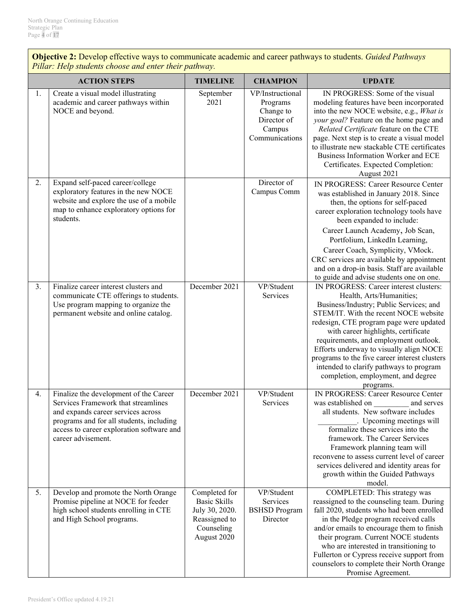**Objective 2:** Develop effective ways to communicate academic and career pathways to students. *Guided Pathways Pillar: Help students choose and enter their pathway.*

|    | <b>ACTION STEPS</b>                                                                                                                                                                                                                | <b>TIMELINE</b>                                                                                      | <b>CHAMPION</b>                                                                      | <b>UPDATE</b>                                                                                                                                                                                                                                                                                                                                                                                                                                                               |
|----|------------------------------------------------------------------------------------------------------------------------------------------------------------------------------------------------------------------------------------|------------------------------------------------------------------------------------------------------|--------------------------------------------------------------------------------------|-----------------------------------------------------------------------------------------------------------------------------------------------------------------------------------------------------------------------------------------------------------------------------------------------------------------------------------------------------------------------------------------------------------------------------------------------------------------------------|
| 1. | Create a visual model illustrating<br>academic and career pathways within<br>NOCE and beyond.                                                                                                                                      | September<br>2021                                                                                    | VP/Instructional<br>Programs<br>Change to<br>Director of<br>Campus<br>Communications | IN PROGRESS: Some of the visual<br>modeling features have been incorporated<br>into the new NOCE website, e.g., What is<br>your goal? Feature on the home page and<br>Related Certificate feature on the CTE<br>page. Next step is to create a visual model<br>to illustrate new stackable CTE certificates<br>Business Information Worker and ECE<br>Certificates. Expected Completion:<br>August 2021                                                                     |
| 2. | Expand self-paced career/college<br>exploratory features in the new NOCE<br>website and explore the use of a mobile<br>map to enhance exploratory options for<br>students.                                                         |                                                                                                      | Director of<br>Campus Comm                                                           | IN PROGRESS: Career Resource Center<br>was established in January 2018. Since<br>then, the options for self-paced<br>career exploration technology tools have<br>been expanded to include:<br>Career Launch Academy, Job Scan,<br>Portfolium, LinkedIn Learning,<br>Career Coach, Symplicity, VMock.<br>CRC services are available by appointment<br>and on a drop-in basis. Staff are available<br>to guide and advise students one on one.                                |
| 3. | Finalize career interest clusters and<br>communicate CTE offerings to students.<br>Use program mapping to organize the<br>permanent website and online catalog.                                                                    | December 2021                                                                                        | VP/Student<br><b>Services</b>                                                        | IN PROGRESS: Career interest clusters:<br>Health, Arts/Humanities;<br>Business/Industry; Public Services; and<br>STEM/IT. With the recent NOCE website<br>redesign, CTE program page were updated<br>with career highlights, certificate<br>requirements, and employment outlook.<br>Efforts underway to visually align NOCE<br>programs to the five career interest clusters<br>intended to clarify pathways to program<br>completion, employment, and degree<br>programs. |
| 4. | Finalize the development of the Career<br>Services Framework that streamlines<br>and expands career services across<br>programs and for all students, including<br>access to career exploration software and<br>career advisement. | December 2021                                                                                        | VP/Student<br>Services                                                               | IN PROGRESS: Career Resource Center<br>was established on<br>and serves<br>all students. New software includes<br>Upcoming meetings will<br>formalize these services into the<br>framework. The Career Services<br>Framework planning team will<br>reconvene to assess current level of career<br>services delivered and identity areas for<br>growth within the Guided Pathways<br>model.                                                                                  |
| 5. | Develop and promote the North Orange<br>Promise pipeline at NOCE for feeder<br>high school students enrolling in CTE<br>and High School programs.                                                                                  | Completed for<br><b>Basic Skills</b><br>July 30, 2020.<br>Reassigned to<br>Counseling<br>August 2020 | VP/Student<br>Services<br><b>BSHSD</b> Program<br>Director                           | COMPLETED: This strategy was<br>reassigned to the counseling team. During<br>fall 2020, students who had been enrolled<br>in the Pledge program received calls<br>and/or emails to encourage them to finish<br>their program. Current NOCE students<br>who are interested in transitioning to<br>Fullerton or Cypress receive support from<br>counselors to complete their North Orange<br>Promise Agreement.                                                               |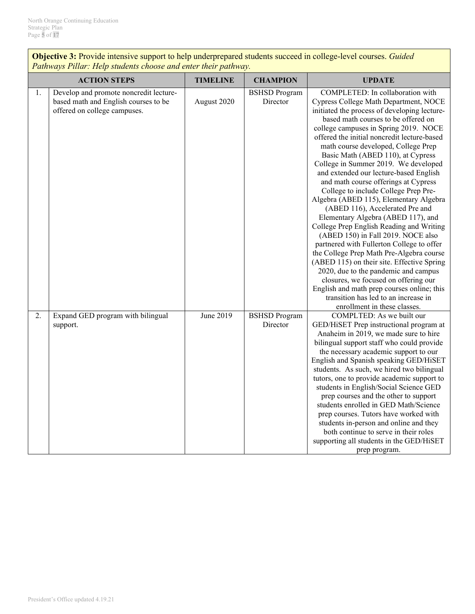**Objective 3:** Provide intensive support to help underprepared students succeed in college-level courses. *Guided Pathways Pillar: Help students choose and enter their pathway.*

|    | <b>ACTION STEPS</b>                                                                                            | <b>TIMELINE</b> | <b>CHAMPION</b>                  | <b>UPDATE</b>                                                                                                                                                                                                                                                                                                                                                                                                                                                                                                                                                                                                                                                                                                                                                                                                                                                                                                                                                                                                                                            |
|----|----------------------------------------------------------------------------------------------------------------|-----------------|----------------------------------|----------------------------------------------------------------------------------------------------------------------------------------------------------------------------------------------------------------------------------------------------------------------------------------------------------------------------------------------------------------------------------------------------------------------------------------------------------------------------------------------------------------------------------------------------------------------------------------------------------------------------------------------------------------------------------------------------------------------------------------------------------------------------------------------------------------------------------------------------------------------------------------------------------------------------------------------------------------------------------------------------------------------------------------------------------|
| 1. | Develop and promote noncredit lecture-<br>based math and English courses to be<br>offered on college campuses. | August 2020     | <b>BSHSD</b> Program<br>Director | COMPLETED: In collaboration with<br>Cypress College Math Department, NOCE<br>initiated the process of developing lecture-<br>based math courses to be offered on<br>college campuses in Spring 2019. NOCE<br>offered the initial noncredit lecture-based<br>math course developed, College Prep<br>Basic Math (ABED 110), at Cypress<br>College in Summer 2019. We developed<br>and extended our lecture-based English<br>and math course offerings at Cypress<br>College to include College Prep Pre-<br>Algebra (ABED 115), Elementary Algebra<br>(ABED 116), Accelerated Pre and<br>Elementary Algebra (ABED 117), and<br>College Prep English Reading and Writing<br>(ABED 150) in Fall 2019. NOCE also<br>partnered with Fullerton College to offer<br>the College Prep Math Pre-Algebra course<br>(ABED 115) on their site. Effective Spring<br>2020, due to the pandemic and campus<br>closures, we focused on offering our<br>English and math prep courses online; this<br>transition has led to an increase in<br>enrollment in these classes. |
| 2. | Expand GED program with bilingual<br>support.                                                                  | June 2019       | <b>BSHSD</b> Program<br>Director | COMPLTED: As we built our<br>GED/HiSET Prep instructional program at<br>Anaheim in 2019, we made sure to hire<br>bilingual support staff who could provide<br>the necessary academic support to our<br>English and Spanish speaking GED/HiSET<br>students. As such, we hired two bilingual<br>tutors, one to provide academic support to<br>students in English/Social Science GED<br>prep courses and the other to support<br>students enrolled in GED Math/Science<br>prep courses. Tutors have worked with<br>students in-person and online and they<br>both continue to serve in their roles<br>supporting all students in the GED/HiSET<br>prep program.                                                                                                                                                                                                                                                                                                                                                                                            |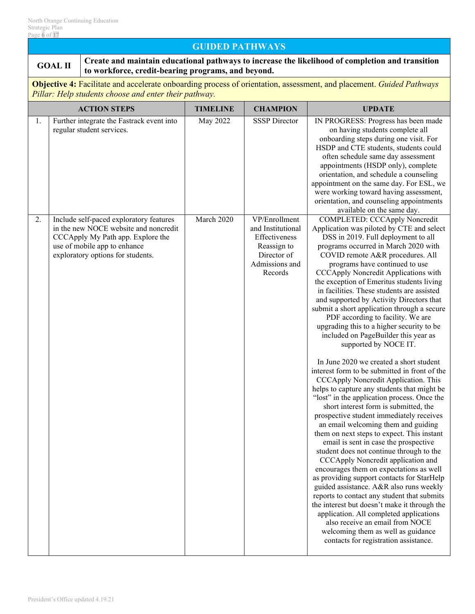# **GUIDED PATHWAYS**

# **GOAL II Create and maintain educational pathways to increase the likelihood of completion and transition to workforce, credit-bearing programs, and beyond.**

**Objective 4:** Facilitate and accelerate onboarding process of orientation, assessment, and placement. *Guided Pathways Pillar: Help students choose and enter their pathway.*

|    | <b>ACTION STEPS</b>                                                                                                                                                                        | <b>TIMELINE</b> | <b>CHAMPION</b>                                                                                                | <b>UPDATE</b>                                                                                                                                                                                                                                                                                                                                                                                                                                                                                                                                                                                                                                                                                                                                                                                                                                                                                                                                                                                                                                                                                                                                                                                                                                                                                                                                                                                                                                                                                                                                           |
|----|--------------------------------------------------------------------------------------------------------------------------------------------------------------------------------------------|-----------------|----------------------------------------------------------------------------------------------------------------|---------------------------------------------------------------------------------------------------------------------------------------------------------------------------------------------------------------------------------------------------------------------------------------------------------------------------------------------------------------------------------------------------------------------------------------------------------------------------------------------------------------------------------------------------------------------------------------------------------------------------------------------------------------------------------------------------------------------------------------------------------------------------------------------------------------------------------------------------------------------------------------------------------------------------------------------------------------------------------------------------------------------------------------------------------------------------------------------------------------------------------------------------------------------------------------------------------------------------------------------------------------------------------------------------------------------------------------------------------------------------------------------------------------------------------------------------------------------------------------------------------------------------------------------------------|
| 1. | Further integrate the Fastrack event into<br>regular student services.                                                                                                                     | May 2022        | <b>SSSP</b> Director                                                                                           | IN PROGRESS: Progress has been made<br>on having students complete all<br>onboarding steps during one visit. For<br>HSDP and CTE students, students could<br>often schedule same day assessment<br>appointments (HSDP only), complete<br>orientation, and schedule a counseling<br>appointment on the same day. For ESL, we<br>were working toward having assessment,<br>orientation, and counseling appointments<br>available on the same day.                                                                                                                                                                                                                                                                                                                                                                                                                                                                                                                                                                                                                                                                                                                                                                                                                                                                                                                                                                                                                                                                                                         |
| 2. | Include self-paced exploratory features<br>in the new NOCE website and noncredit<br>CCCApply My Path app. Explore the<br>use of mobile app to enhance<br>exploratory options for students. | March 2020      | VP/Enrollment<br>and Institutional<br>Effectiveness<br>Reassign to<br>Director of<br>Admissions and<br>Records | COMPLETED: CCCApply Noncredit<br>Application was piloted by CTE and select<br>DSS in 2019. Full deployment to all<br>programs occurred in March 2020 with<br>COVID remote A&R procedures. All<br>programs have continued to use<br>CCCApply Noncredit Applications with<br>the exception of Emeritus students living<br>in facilities. These students are assisted<br>and supported by Activity Directors that<br>submit a short application through a secure<br>PDF according to facility. We are<br>upgrading this to a higher security to be<br>included on PageBuilder this year as<br>supported by NOCE IT.<br>In June 2020 we created a short student<br>interest form to be submitted in front of the<br>CCCApply Noncredit Application. This<br>helps to capture any students that might be<br>"lost" in the application process. Once the<br>short interest form is submitted, the<br>prospective student immediately receives<br>an email welcoming them and guiding<br>them on next steps to expect. This instant<br>email is sent in case the prospective<br>student does not continue through to the<br>CCCApply Noncredit application and<br>encourages them on expectations as well<br>as providing support contacts for StarHelp<br>guided assistance. A&R also runs weekly<br>reports to contact any student that submits<br>the interest but doesn't make it through the<br>application. All completed applications<br>also receive an email from NOCE<br>welcoming them as well as guidance<br>contacts for registration assistance. |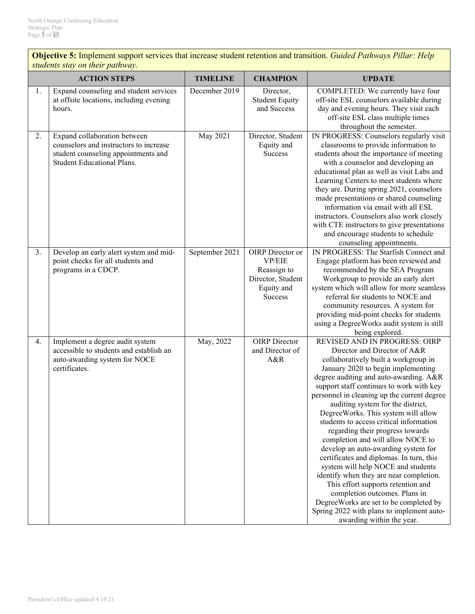**Objective 5:** Implement support services that increase student retention and transition. *Guided Pathways Pillar: Help students stay on their pathway.*

|    | <b>ACTION STEPS</b>                                                                                                                                | <b>TIMELINE</b> | <b>CHAMPION</b>                                                                                | <b>UPDATE</b>                                                                                                                                                                                                                                                                                                                                                                                                                                                                                                                                                                                                                                                                                                                                                                                                                                   |
|----|----------------------------------------------------------------------------------------------------------------------------------------------------|-----------------|------------------------------------------------------------------------------------------------|-------------------------------------------------------------------------------------------------------------------------------------------------------------------------------------------------------------------------------------------------------------------------------------------------------------------------------------------------------------------------------------------------------------------------------------------------------------------------------------------------------------------------------------------------------------------------------------------------------------------------------------------------------------------------------------------------------------------------------------------------------------------------------------------------------------------------------------------------|
| 1. | Expand counseling and student services<br>at offsite locations, including evening<br>hours.                                                        | December 2019   | Director,<br><b>Student Equity</b><br>and Success                                              | COMPLETED: We currently have four<br>off-site ESL counselors available during<br>day and evening hours. They visit each<br>off-site ESL class multiple times<br>throughout the semester.                                                                                                                                                                                                                                                                                                                                                                                                                                                                                                                                                                                                                                                        |
| 2. | Expand collaboration between<br>counselors and instructors to increase<br>student counseling appointments and<br><b>Student Educational Plans.</b> | May 2021        | Director, Student<br>Equity and<br>Success                                                     | IN PROGRESS: Counselors regularly visit<br>classrooms to provide information to<br>students about the importance of meeting<br>with a counselor and developing an<br>educational plan as well as visit Labs and<br>Learning Centers to meet students where<br>they are. During spring 2021, counselors<br>made presentations or shared counseling<br>information via email with all ESL<br>instructors. Counselors also work closely<br>with CTE instructors to give presentations<br>and encourage students to schedule<br>counseling appointments.                                                                                                                                                                                                                                                                                            |
| 3. | Develop an early alert system and mid-<br>point checks for all students and<br>programs in a CDCP.                                                 | September 2021  | OIRP Director or<br><b>VP/EIE</b><br>Reassign to<br>Director, Student<br>Equity and<br>Success | IN PROGRESS: The Starfish Connect and<br>Engage platform has been reviewed and<br>recommended by the SEA Program<br>Workgroup to provide an early alert<br>system which will allow for more seamless<br>referral for students to NOCE and<br>community resources. A system for<br>providing mid-point checks for students<br>using a DegreeWorks audit system is still<br>being explored.                                                                                                                                                                                                                                                                                                                                                                                                                                                       |
| 4. | Implement a degree audit system<br>accessible to students and establish an<br>auto-awarding system for NOCE<br>certificates.                       | May, 2022       | <b>OIRP</b> Director<br>and Director of<br>A&R                                                 | REVISED AND IN PROGRESS: OIRP<br>Director and Director of A&R<br>collaboratively built a workgroup in<br>January 2020 to begin implementing<br>degree auditing and auto-awarding. A&R<br>support staff continues to work with key<br>personnel in cleaning up the current degree<br>auditing system for the district,<br>DegreeWorks. This system will allow<br>students to access critical information<br>regarding their progress towards<br>completion and will allow NOCE to<br>develop an auto-awarding system for<br>certificates and diplomas. In turn, this<br>system will help NOCE and students<br>identify when they are near completion.<br>This effort supports retention and<br>completion outcomes. Plans in<br>DegreeWorks are set to be completed by<br>Spring 2022 with plans to implement auto-<br>awarding within the year. |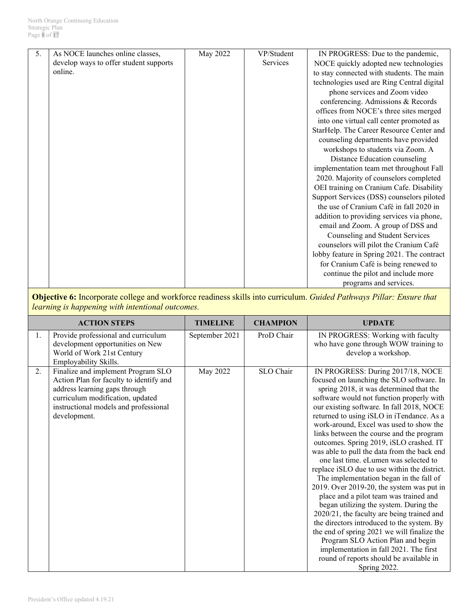| 5 <sub>1</sub> | As NOCE launches online classes,       | May 2022 | VP/Student | IN PROGRESS: Due to the pandemic,          |
|----------------|----------------------------------------|----------|------------|--------------------------------------------|
|                | develop ways to offer student supports |          | Services   | NOCE quickly adopted new technologies      |
|                | online.                                |          |            | to stay connected with students. The main  |
|                |                                        |          |            | technologies used are Ring Central digital |
|                |                                        |          |            | phone services and Zoom video              |
|                |                                        |          |            | conferencing. Admissions & Records         |
|                |                                        |          |            | offices from NOCE's three sites merged     |
|                |                                        |          |            | into one virtual call center promoted as   |
|                |                                        |          |            | StarHelp. The Career Resource Center and   |
|                |                                        |          |            | counseling departments have provided       |
|                |                                        |          |            | workshops to students via Zoom. A          |
|                |                                        |          |            | Distance Education counseling              |
|                |                                        |          |            | implementation team met throughout Fall    |
|                |                                        |          |            | 2020. Majority of counselors completed     |
|                |                                        |          |            | OEI training on Cranium Cafe. Disability   |
|                |                                        |          |            | Support Services (DSS) counselors piloted  |
|                |                                        |          |            | the use of Cranium Café in fall 2020 in    |
|                |                                        |          |            | addition to providing services via phone,  |
|                |                                        |          |            | email and Zoom. A group of DSS and         |
|                |                                        |          |            | Counseling and Student Services            |
|                |                                        |          |            | counselors will pilot the Cranium Café     |
|                |                                        |          |            | lobby feature in Spring 2021. The contract |
|                |                                        |          |            | for Cranium Café is being renewed to       |
|                |                                        |          |            | continue the pilot and include more        |
|                |                                        |          |            | programs and services.                     |

**Objective 6:** Incorporate college and workforce readiness skills into curriculum. *Guided Pathways Pillar: Ensure that learning is happening with intentional outcomes.*

|    | <b>ACTION STEPS</b>                                                                                                                                                                                         | <b>TIMELINE</b> | <b>CHAMPION</b> | <b>UPDATE</b>                                                                                                                                                                                                                                                                                                                                                                                                                                                                                                                                                                                                                                                                                                                                                                                                                                                                                                                                                                                               |
|----|-------------------------------------------------------------------------------------------------------------------------------------------------------------------------------------------------------------|-----------------|-----------------|-------------------------------------------------------------------------------------------------------------------------------------------------------------------------------------------------------------------------------------------------------------------------------------------------------------------------------------------------------------------------------------------------------------------------------------------------------------------------------------------------------------------------------------------------------------------------------------------------------------------------------------------------------------------------------------------------------------------------------------------------------------------------------------------------------------------------------------------------------------------------------------------------------------------------------------------------------------------------------------------------------------|
| 1. | Provide professional and curriculum<br>development opportunities on New<br>World of Work 21st Century<br>Employability Skills.                                                                              | September 2021  | ProD Chair      | IN PROGRESS: Working with faculty<br>who have gone through WOW training to<br>develop a workshop.                                                                                                                                                                                                                                                                                                                                                                                                                                                                                                                                                                                                                                                                                                                                                                                                                                                                                                           |
| 2. | Finalize and implement Program SLO<br>Action Plan for faculty to identify and<br>address learning gaps through<br>curriculum modification, updated<br>instructional models and professional<br>development. | May 2022        | SLO Chair       | IN PROGRESS: During 2017/18, NOCE<br>focused on launching the SLO software. In<br>spring 2018, it was determined that the<br>software would not function properly with<br>our existing software. In fall 2018, NOCE<br>returned to using iSLO in iTendance. As a<br>work-around, Excel was used to show the<br>links between the course and the program<br>outcomes. Spring 2019, iSLO crashed. IT<br>was able to pull the data from the back end<br>one last time. eLumen was selected to<br>replace iSLO due to use within the district.<br>The implementation began in the fall of<br>2019. Over 2019-20, the system was put in<br>place and a pilot team was trained and<br>began utilizing the system. During the<br>2020/21, the faculty are being trained and<br>the directors introduced to the system. By<br>the end of spring 2021 we will finalize the<br>Program SLO Action Plan and begin<br>implementation in fall 2021. The first<br>round of reports should be available in<br>Spring 2022. |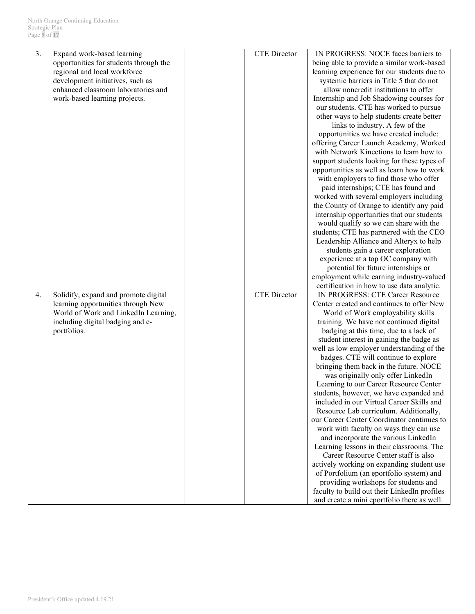| 3. | Expand work-based learning             | <b>CTE</b> Director | IN PROGRESS: NOCE faces barriers to                                                         |
|----|----------------------------------------|---------------------|---------------------------------------------------------------------------------------------|
|    | opportunities for students through the |                     | being able to provide a similar work-based                                                  |
|    | regional and local workforce           |                     | learning experience for our students due to                                                 |
|    | development initiatives, such as       |                     | systemic barriers in Title 5 that do not                                                    |
|    | enhanced classroom laboratories and    |                     | allow noncredit institutions to offer                                                       |
|    |                                        |                     | Internship and Job Shadowing courses for                                                    |
|    | work-based learning projects.          |                     |                                                                                             |
|    |                                        |                     | our students. CTE has worked to pursue                                                      |
|    |                                        |                     | other ways to help students create better                                                   |
|    |                                        |                     | links to industry. A few of the                                                             |
|    |                                        |                     | opportunities we have created include:                                                      |
|    |                                        |                     | offering Career Launch Academy, Worked                                                      |
|    |                                        |                     | with Network Kinections to learn how to                                                     |
|    |                                        |                     | support students looking for these types of                                                 |
|    |                                        |                     | opportunities as well as learn how to work                                                  |
|    |                                        |                     | with employers to find those who offer                                                      |
|    |                                        |                     | paid internships; CTE has found and                                                         |
|    |                                        |                     | worked with several employers including                                                     |
|    |                                        |                     | the County of Orange to identify any paid                                                   |
|    |                                        |                     | internship opportunities that our students                                                  |
|    |                                        |                     | would qualify so we can share with the                                                      |
|    |                                        |                     | students; CTE has partnered with the CEO                                                    |
|    |                                        |                     | Leadership Alliance and Alteryx to help                                                     |
|    |                                        |                     | students gain a career exploration                                                          |
|    |                                        |                     |                                                                                             |
|    |                                        |                     | experience at a top OC company with                                                         |
|    |                                        |                     | potential for future internships or                                                         |
|    |                                        |                     | employment while earning industry-valued                                                    |
|    |                                        |                     | certification in how to use data analytic.                                                  |
| 4. | Solidify, expand and promote digital   | <b>CTE</b> Director | IN PROGRESS: CTE Career Resource                                                            |
|    | learning opportunities through New     |                     | Center created and continues to offer New                                                   |
|    | World of Work and LinkedIn Learning,   |                     | World of Work employability skills                                                          |
|    | including digital badging and e-       |                     | training. We have not continued digital                                                     |
|    | portfolios.                            |                     | badging at this time, due to a lack of                                                      |
|    |                                        |                     | student interest in gaining the badge as                                                    |
|    |                                        |                     | well as low employer understanding of the                                                   |
|    |                                        |                     | badges. CTE will continue to explore                                                        |
|    |                                        |                     | bringing them back in the future. NOCE                                                      |
|    |                                        |                     | was originally only offer LinkedIn                                                          |
|    |                                        |                     | Learning to our Career Resource Center                                                      |
|    |                                        |                     | students, however, we have expanded and                                                     |
|    |                                        |                     | included in our Virtual Career Skills and                                                   |
|    |                                        |                     | Resource Lab curriculum. Additionally,                                                      |
|    |                                        |                     | our Career Center Coordinator continues to                                                  |
|    |                                        |                     | work with faculty on ways they can use                                                      |
|    |                                        |                     | and incorporate the various LinkedIn                                                        |
|    |                                        |                     |                                                                                             |
|    |                                        |                     | Learning lessons in their classrooms. The                                                   |
|    |                                        |                     | Career Resource Center staff is also                                                        |
|    |                                        |                     | actively working on expanding student use                                                   |
|    |                                        |                     | of Portfolium (an eportfolio system) and                                                    |
|    |                                        |                     |                                                                                             |
|    |                                        |                     | providing workshops for students and                                                        |
|    |                                        |                     | faculty to build out their LinkedIn profiles<br>and create a mini eportfolio there as well. |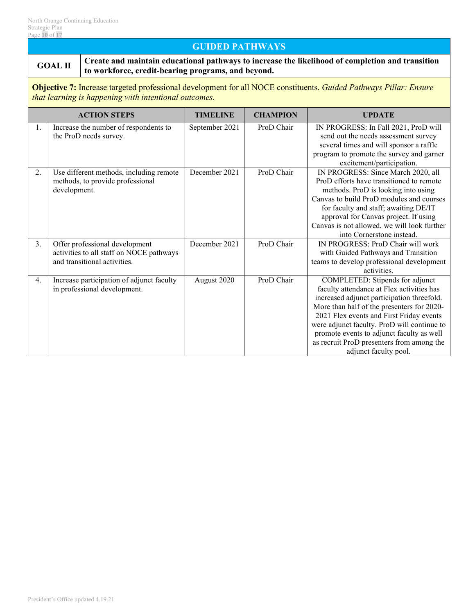# **GUIDED PATHWAYS**

**GOAL II Create and maintain educational pathways to increase the likelihood of completion and transition to workforce, credit-bearing programs, and beyond.**

**Objective 7:** Increase targeted professional development for all NOCE constituents. *Guided Pathways Pillar: Ensure that learning is happening with intentional outcomes.*

|                  | <b>ACTION STEPS</b>                                                                                        | <b>TIMELINE</b> | <b>CHAMPION</b> | <b>UPDATE</b>                                                                                                                                                                                                                                                                                                                                                                          |
|------------------|------------------------------------------------------------------------------------------------------------|-----------------|-----------------|----------------------------------------------------------------------------------------------------------------------------------------------------------------------------------------------------------------------------------------------------------------------------------------------------------------------------------------------------------------------------------------|
| 1.               | Increase the number of respondents to<br>the ProD needs survey.                                            | September 2021  | ProD Chair      | IN PROGRESS: In Fall 2021, ProD will<br>send out the needs assessment survey<br>several times and will sponsor a raffle<br>program to promote the survey and garner<br>excitement/participation.                                                                                                                                                                                       |
| 2.               | Use different methods, including remote<br>methods, to provide professional<br>development.                | December 2021   | ProD Chair      | IN PROGRESS: Since March 2020, all<br>ProD efforts have transitioned to remote<br>methods. ProD is looking into using<br>Canvas to build ProD modules and courses<br>for faculty and staff; awaiting DE/IT<br>approval for Canvas project. If using<br>Canvas is not allowed, we will look further<br>into Cornerstone instead.                                                        |
| 3.               | Offer professional development<br>activities to all staff on NOCE pathways<br>and transitional activities. | December 2021   | ProD Chair      | IN PROGRESS: ProD Chair will work<br>with Guided Pathways and Transition<br>teams to develop professional development<br>activities.                                                                                                                                                                                                                                                   |
| $\overline{4}$ . | Increase participation of adjunct faculty<br>in professional development.                                  | August 2020     | ProD Chair      | COMPLETED: Stipends for adjunct<br>faculty attendance at Flex activities has<br>increased adjunct participation threefold.<br>More than half of the presenters for 2020-<br>2021 Flex events and First Friday events<br>were adjunct faculty. ProD will continue to<br>promote events to adjunct faculty as well<br>as recruit ProD presenters from among the<br>adjunct faculty pool. |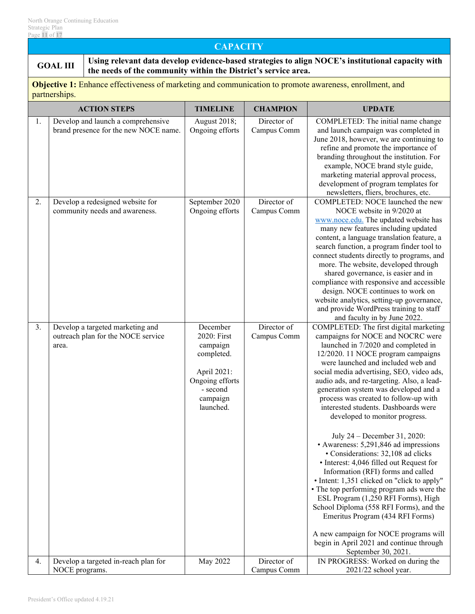### **CAPACITY**

**GOAL III** Using relevant data develop evidence-based strategies to align NOCE's institutional capacity with  $\frac{1}{2}$ **the needs of the community within the District's service area.**

**Objective 1:** Enhance effectiveness of marketing and communication to promote awareness, enrollment, and partnerships.

|    | <b>ACTION STEPS</b>                                                             | <b>TIMELINE</b>                                                                                                          | <b>CHAMPION</b>            | <b>UPDATE</b>                                                                                                                                                                                                                                                                                                                                                                                                                                                                                                                                                                                                                                                                                                                                                                                                                                                                                                                                                                        |
|----|---------------------------------------------------------------------------------|--------------------------------------------------------------------------------------------------------------------------|----------------------------|--------------------------------------------------------------------------------------------------------------------------------------------------------------------------------------------------------------------------------------------------------------------------------------------------------------------------------------------------------------------------------------------------------------------------------------------------------------------------------------------------------------------------------------------------------------------------------------------------------------------------------------------------------------------------------------------------------------------------------------------------------------------------------------------------------------------------------------------------------------------------------------------------------------------------------------------------------------------------------------|
| 1. | Develop and launch a comprehensive<br>brand presence for the new NOCE name.     | August 2018;<br>Ongoing efforts                                                                                          | Director of<br>Campus Comm | COMPLETED: The initial name change<br>and launch campaign was completed in<br>June 2018, however, we are continuing to<br>refine and promote the importance of<br>branding throughout the institution. For<br>example, NOCE brand style guide,<br>marketing material approval process,<br>development of program templates for<br>newsletters, fliers, brochures, etc.                                                                                                                                                                                                                                                                                                                                                                                                                                                                                                                                                                                                               |
| 2. | Develop a redesigned website for<br>community needs and awareness.              | September 2020<br>Ongoing efforts                                                                                        | Director of<br>Campus Comm | COMPLETED: NOCE launched the new<br>NOCE website in 9/2020 at<br>www.noce.edu. The updated website has<br>many new features including updated<br>content, a language translation feature, a<br>search function, a program finder tool to<br>connect students directly to programs, and<br>more. The website, developed through<br>shared governance, is easier and in<br>compliance with responsive and accessible<br>design. NOCE continues to work on<br>website analytics, setting-up governance,<br>and provide WordPress training to staff<br>and faculty in by June 2022.                                                                                                                                                                                                                                                                                                                                                                                                      |
| 3. | Develop a targeted marketing and<br>outreach plan for the NOCE service<br>area. | December<br>2020: First<br>campaign<br>completed.<br>April 2021:<br>Ongoing efforts<br>- second<br>campaign<br>launched. | Director of<br>Campus Comm | COMPLETED: The first digital marketing<br>campaigns for NOCE and NOCRC were<br>launched in 7/2020 and completed in<br>12/2020. 11 NOCE program campaigns<br>were launched and included web and<br>social media advertising, SEO, video ads,<br>audio ads, and re-targeting. Also, a lead-<br>generation system was developed and a<br>process was created to follow-up with<br>interested students. Dashboards were<br>developed to monitor progress.<br>July 24 - December 31, 2020:<br>• Awareness: 5,291,846 ad impressions<br>· Considerations: 32,108 ad clicks<br>• Interest: 4,046 filled out Request for<br>Information (RFI) forms and called<br>• Intent: 1,351 clicked on "click to apply"<br>• The top performing program ads were the<br>ESL Program (1,250 RFI Forms), High<br>School Diploma (558 RFI Forms), and the<br>Emeritus Program (434 RFI Forms)<br>A new campaign for NOCE programs will<br>begin in April 2021 and continue through<br>September 30, 2021. |
| 4. | Develop a targeted in-reach plan for<br>NOCE programs.                          | May 2022                                                                                                                 | Director of<br>Campus Comm | IN PROGRESS: Worked on during the<br>2021/22 school year.                                                                                                                                                                                                                                                                                                                                                                                                                                                                                                                                                                                                                                                                                                                                                                                                                                                                                                                            |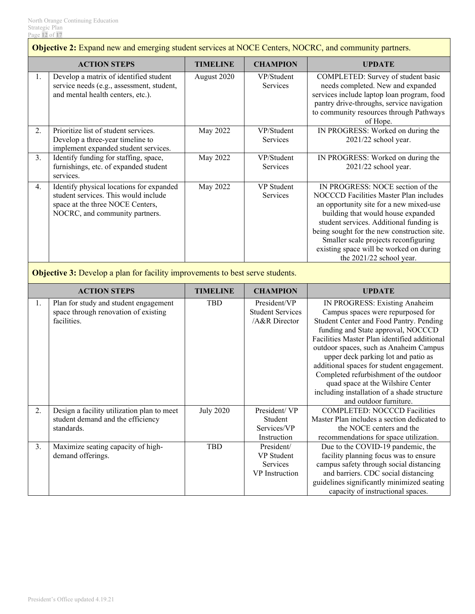|    | <b>Objective 2:</b> Expand new and emerging student services at NOCE Centers, NOCRC, and community partners.                                           |                  |                                                          |                                                                                                                                                                                                                                                                                                                                                                                                                                                                                           |  |  |
|----|--------------------------------------------------------------------------------------------------------------------------------------------------------|------------------|----------------------------------------------------------|-------------------------------------------------------------------------------------------------------------------------------------------------------------------------------------------------------------------------------------------------------------------------------------------------------------------------------------------------------------------------------------------------------------------------------------------------------------------------------------------|--|--|
|    | <b>ACTION STEPS</b>                                                                                                                                    | <b>TIMELINE</b>  | <b>CHAMPION</b>                                          | <b>UPDATE</b>                                                                                                                                                                                                                                                                                                                                                                                                                                                                             |  |  |
| 1. | Develop a matrix of identified student<br>service needs (e.g., assessment, student,<br>and mental health centers, etc.).                               | August 2020      | VP/Student<br>Services                                   | COMPLETED: Survey of student basic<br>needs completed. New and expanded<br>services include laptop loan program, food<br>pantry drive-throughs, service navigation<br>to community resources through Pathways<br>of Hope.                                                                                                                                                                                                                                                                 |  |  |
| 2. | Prioritize list of student services.<br>Develop a three-year timeline to<br>implement expanded student services.                                       | May 2022         | VP/Student<br>Services                                   | IN PROGRESS: Worked on during the<br>2021/22 school year.                                                                                                                                                                                                                                                                                                                                                                                                                                 |  |  |
| 3. | Identify funding for staffing, space,<br>furnishings, etc. of expanded student<br>services.                                                            | May 2022         | VP/Student<br>Services                                   | IN PROGRESS: Worked on during the<br>2021/22 school year.                                                                                                                                                                                                                                                                                                                                                                                                                                 |  |  |
| 4. | Identify physical locations for expanded<br>student services. This would include<br>space at the three NOCE Centers,<br>NOCRC, and community partners. | May 2022         | <b>VP</b> Student<br>Services                            | IN PROGRESS: NOCE section of the<br>NOCCCD Facilities Master Plan includes<br>an opportunity site for a new mixed-use<br>building that would house expanded<br>student services. Additional funding is<br>being sought for the new construction site.<br>Smaller scale projects reconfiguring<br>existing space will be worked on during<br>the 2021/22 school year.                                                                                                                      |  |  |
|    | <b>Objective 3:</b> Develop a plan for facility improvements to best serve students.                                                                   |                  |                                                          |                                                                                                                                                                                                                                                                                                                                                                                                                                                                                           |  |  |
|    | <b>ACTION STEPS</b>                                                                                                                                    | <b>TIMELINE</b>  | <b>CHAMPION</b>                                          | <b>UPDATE</b>                                                                                                                                                                                                                                                                                                                                                                                                                                                                             |  |  |
| 1. | Plan for study and student engagement<br>space through renovation of existing<br>facilities.                                                           | <b>TBD</b>       | President/VP<br><b>Student Services</b><br>/A&R Director | IN PROGRESS: Existing Anaheim<br>Campus spaces were repurposed for<br>Student Center and Food Pantry. Pending<br>funding and State approval, NOCCCD<br>Facilities Master Plan identified additional<br>outdoor spaces, such as Anaheim Campus<br>upper deck parking lot and patio as<br>additional spaces for student engagement.<br>Completed refurbishment of the outdoor<br>quad space at the Wilshire Center<br>including installation of a shade structure<br>and outdoor furniture. |  |  |
| 2. | Design a facility utilization plan to meet<br>student demand and the efficiency<br>standards.                                                          | <b>July 2020</b> | President/VP<br>Student<br>Services/VP<br>Instruction    | <b>COMPLETED: NOCCCD Facilities</b><br>Master Plan includes a section dedicated to<br>the NOCE centers and the<br>recommendations for space utilization.                                                                                                                                                                                                                                                                                                                                  |  |  |
| 3. | Maximize seating capacity of high-<br>demand offerings.                                                                                                | <b>TBD</b>       | President/<br>VP Student<br>Services<br>VP Instruction   | Due to the COVID-19 pandemic, the<br>facility planning focus was to ensure<br>campus safety through social distancing<br>and barriers. CDC social distancing<br>guidelines significantly minimized seating<br>capacity of instructional spaces.                                                                                                                                                                                                                                           |  |  |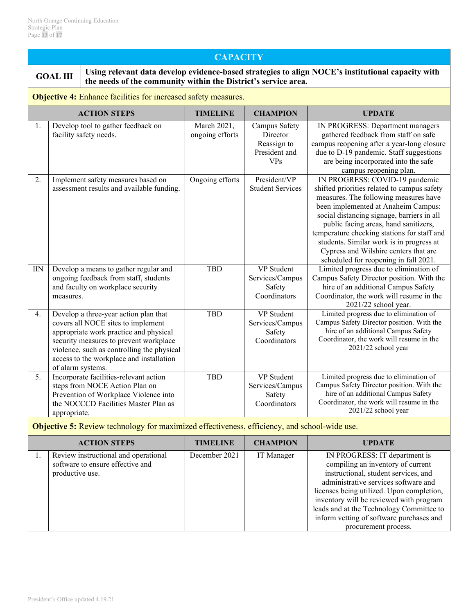# **CAPACITY**

**GOAL III** Using relevant data develop evidence-based strategies to align NOCE's institutional capacity with **GOAL the needs of the community within the District's service area.**

**Objective 4:** Enhance facilities for increased safety measures.

|            | <b>ACTION STEPS</b>                                                                                                                                                                                                                                                            | <b>TIMELINE</b>                | <b>CHAMPION</b>                                                         | <b>UPDATE</b>                                                                                                                                                                                                                                                                                                                                                                                                                     |
|------------|--------------------------------------------------------------------------------------------------------------------------------------------------------------------------------------------------------------------------------------------------------------------------------|--------------------------------|-------------------------------------------------------------------------|-----------------------------------------------------------------------------------------------------------------------------------------------------------------------------------------------------------------------------------------------------------------------------------------------------------------------------------------------------------------------------------------------------------------------------------|
| 1.         | Develop tool to gather feedback on<br>facility safety needs.                                                                                                                                                                                                                   | March 2021,<br>ongoing efforts | Campus Safety<br>Director<br>Reassign to<br>President and<br><b>VPs</b> | IN PROGRESS: Department managers<br>gathered feedback from staff on safe<br>campus reopening after a year-long closure<br>due to D-19 pandemic. Staff suggestions<br>are being incorporated into the safe<br>campus reopening plan.                                                                                                                                                                                               |
| 2.         | Implement safety measures based on<br>assessment results and available funding.                                                                                                                                                                                                | Ongoing efforts                | President/VP<br><b>Student Services</b>                                 | IN PROGRESS: COVID-19 pandemic<br>shifted priorities related to campus safety<br>measures. The following measures have<br>been implemented at Anaheim Campus:<br>social distancing signage, barriers in all<br>public facing areas, hand sanitizers,<br>temperature checking stations for staff and<br>students. Similar work is in progress at<br>Cypress and Wilshire centers that are<br>scheduled for reopening in fall 2021. |
| $\rm{IIN}$ | Develop a means to gather regular and<br>ongoing feedback from staff, students<br>and faculty on workplace security<br>measures.                                                                                                                                               | <b>TBD</b>                     | VP Student<br>Services/Campus<br>Safety<br>Coordinators                 | Limited progress due to elimination of<br>Campus Safety Director position. With the<br>hire of an additional Campus Safety<br>Coordinator, the work will resume in the<br>2021/22 school year.                                                                                                                                                                                                                                    |
| 4.         | Develop a three-year action plan that<br>covers all NOCE sites to implement<br>appropriate work practice and physical<br>security measures to prevent workplace<br>violence, such as controlling the physical<br>access to the workplace and installation<br>of alarm systems. | <b>TBD</b>                     | VP Student<br>Services/Campus<br>Safety<br>Coordinators                 | Limited progress due to elimination of<br>Campus Safety Director position. With the<br>hire of an additional Campus Safety<br>Coordinator, the work will resume in the<br>2021/22 school year                                                                                                                                                                                                                                     |
| 5.         | Incorporate facilities-relevant action<br>steps from NOCE Action Plan on<br>Prevention of Workplace Violence into<br>the NOCCCD Facilities Master Plan as<br>appropriate.                                                                                                      | <b>TBD</b>                     | <b>VP</b> Student<br>Services/Campus<br>Safety<br>Coordinators          | Limited progress due to elimination of<br>Campus Safety Director position. With the<br>hire of an additional Campus Safety<br>Coordinator, the work will resume in the<br>2021/22 school year                                                                                                                                                                                                                                     |

**Objective 5:** Review technology for maximized effectiveness, efficiency, and school-wide use.

| <b>ACTION STEPS</b>                                                                         | <b>TIMELINE</b> | <b>CHAMPION</b> | <b>UPDATE</b>                                                                                                                                                                                                                                                                                                                                              |
|---------------------------------------------------------------------------------------------|-----------------|-----------------|------------------------------------------------------------------------------------------------------------------------------------------------------------------------------------------------------------------------------------------------------------------------------------------------------------------------------------------------------------|
| Review instructional and operational<br>software to ensure effective and<br>productive use. | December 2021   | IT Manager      | IN PROGRESS: IT department is<br>compiling an inventory of current<br>instructional, student services, and<br>administrative services software and<br>licenses being utilized. Upon completion,<br>inventory will be reviewed with program<br>leads and at the Technology Committee to<br>inform vetting of software purchases and<br>procurement process. |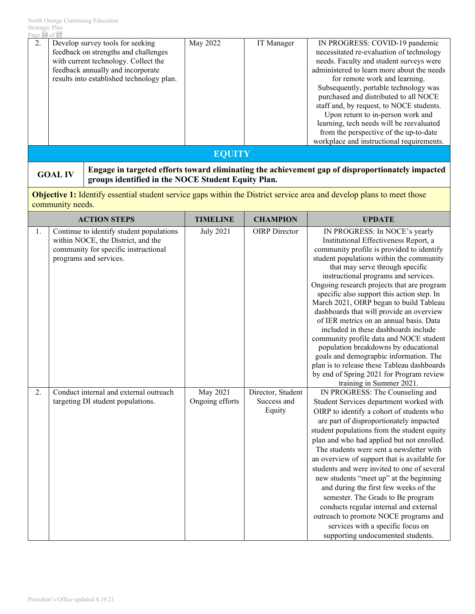| Page 14 of 17 |                                                                                                                                                                                                    |          |            |                                                                                                                                                                                                                                                                                                                                                                                                                                                                                                            |  |  |  |
|---------------|----------------------------------------------------------------------------------------------------------------------------------------------------------------------------------------------------|----------|------------|------------------------------------------------------------------------------------------------------------------------------------------------------------------------------------------------------------------------------------------------------------------------------------------------------------------------------------------------------------------------------------------------------------------------------------------------------------------------------------------------------------|--|--|--|
| 2.            | Develop survey tools for seeking<br>feedback on strengths and challenges<br>with current technology. Collect the<br>feedback annually and incorporate<br>results into established technology plan. | May 2022 | IT Manager | IN PROGRESS: COVID-19 pandemic<br>necessitated re-evaluation of technology<br>needs. Faculty and student surveys were<br>administered to learn more about the needs<br>for remote work and learning.<br>Subsequently, portable technology was<br>purchased and distributed to all NOCE<br>staff and, by request, to NOCE students.<br>Upon return to in-person work and<br>learning, tech needs will be reevaluated<br>from the perspective of the up-to-date<br>workplace and instructional requirements. |  |  |  |
| EOUITY        |                                                                                                                                                                                                    |          |            |                                                                                                                                                                                                                                                                                                                                                                                                                                                                                                            |  |  |  |

**GOAL IV** Engage in targeted efforts toward eliminating the achievement gap of disproportionately impacted <br> **groups identified in the NOCE Student Equity Plan.**

**Objective 1:** Identify essential student service gaps within the District service area and develop plans to meet those community needs.

|    | <b>ACTION STEPS</b>                                                                                                                              | <b>TIMELINE</b>             | <b>CHAMPION</b>                            | <b>UPDATE</b>                                                                                                                                                                                                                                                                                                                                                                                                                                                                                                                                                                                                                                                                                                                                                        |
|----|--------------------------------------------------------------------------------------------------------------------------------------------------|-----------------------------|--------------------------------------------|----------------------------------------------------------------------------------------------------------------------------------------------------------------------------------------------------------------------------------------------------------------------------------------------------------------------------------------------------------------------------------------------------------------------------------------------------------------------------------------------------------------------------------------------------------------------------------------------------------------------------------------------------------------------------------------------------------------------------------------------------------------------|
| 1. | Continue to identify student populations<br>within NOCE, the District, and the<br>community for specific instructional<br>programs and services. | <b>July 2021</b>            | <b>OIRP</b> Director                       | IN PROGRESS: In NOCE's yearly<br>Institutional Effectiveness Report, a<br>community profile is provided to identify<br>student populations within the community<br>that may serve through specific<br>instructional programs and services.<br>Ongoing research projects that are program<br>specific also support this action step. In<br>March 2021, OIRP began to build Tableau<br>dashboards that will provide an overview<br>of IER metrics on an annual basis. Data<br>included in these dashboards include<br>community profile data and NOCE student<br>population breakdowns by educational<br>goals and demographic information. The<br>plan is to release these Tableau dashboards<br>by end of Spring 2021 for Program review<br>training in Summer 2021. |
| 2. | Conduct internal and external outreach<br>targeting DI student populations.                                                                      | May 2021<br>Ongoing efforts | Director, Student<br>Success and<br>Equity | IN PROGRESS: The Counseling and<br>Student Services department worked with<br>OIRP to identify a cohort of students who<br>are part of disproportionately impacted<br>student populations from the student equity<br>plan and who had applied but not enrolled.<br>The students were sent a newsletter with<br>an overview of support that is available for<br>students and were invited to one of several<br>new students "meet up" at the beginning<br>and during the first few weeks of the<br>semester. The Grads to Be program<br>conducts regular internal and external<br>outreach to promote NOCE programs and<br>services with a specific focus on<br>supporting undocumented students.                                                                     |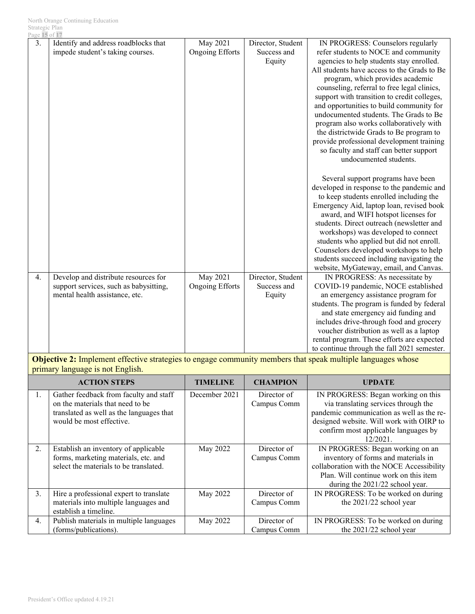| Page 15 of 17 |                                                                                                                  |                                    |                                            |                                                                                                                                                                                                                                                                                                                                                                                                                                                                                                                                                                                                                                                                                                                                                                                                                                                                                                                                                                                                                                                                                         |
|---------------|------------------------------------------------------------------------------------------------------------------|------------------------------------|--------------------------------------------|-----------------------------------------------------------------------------------------------------------------------------------------------------------------------------------------------------------------------------------------------------------------------------------------------------------------------------------------------------------------------------------------------------------------------------------------------------------------------------------------------------------------------------------------------------------------------------------------------------------------------------------------------------------------------------------------------------------------------------------------------------------------------------------------------------------------------------------------------------------------------------------------------------------------------------------------------------------------------------------------------------------------------------------------------------------------------------------------|
| 3.            | Identify and address roadblocks that<br>impede student's taking courses.                                         | May 2021<br><b>Ongoing Efforts</b> | Director, Student<br>Success and<br>Equity | IN PROGRESS: Counselors regularly<br>refer students to NOCE and community<br>agencies to help students stay enrolled.<br>All students have access to the Grads to Be<br>program, which provides academic<br>counseling, referral to free legal clinics,<br>support with transition to credit colleges,<br>and opportunities to build community for<br>undocumented students. The Grads to Be<br>program also works collaboratively with<br>the districtwide Grads to Be program to<br>provide professional development training<br>so faculty and staff can better support<br>undocumented students.<br>Several support programs have been<br>developed in response to the pandemic and<br>to keep students enrolled including the<br>Emergency Aid, laptop loan, revised book<br>award, and WIFI hotspot licenses for<br>students. Direct outreach (newsletter and<br>workshops) was developed to connect<br>students who applied but did not enroll.<br>Counselors developed workshops to help<br>students succeed including navigating the<br>website, MyGateway, email, and Canvas. |
| 4.            | Develop and distribute resources for<br>support services, such as babysitting,<br>mental health assistance, etc. | May 2021<br><b>Ongoing Efforts</b> | Director, Student<br>Success and<br>Equity | IN PROGRESS: As necessitate by<br>COVID-19 pandemic, NOCE established<br>an emergency assistance program for<br>students. The program is funded by federal<br>and state emergency aid funding and<br>includes drive-through food and grocery<br>voucher distribution as well as a laptop<br>rental program. These efforts are expected<br>to continue through the fall 2021 semester.                                                                                                                                                                                                                                                                                                                                                                                                                                                                                                                                                                                                                                                                                                   |

**Objective 2:** Implement effective strategies to engage community members that speak multiple languages whose primary language is not English.

|    | <b>ACTION STEPS</b>                                                                                                                                | <b>TIMELINE</b> | <b>CHAMPION</b>            | UPDATE                                                                                                                                                                                                                     |
|----|----------------------------------------------------------------------------------------------------------------------------------------------------|-----------------|----------------------------|----------------------------------------------------------------------------------------------------------------------------------------------------------------------------------------------------------------------------|
| 1. | Gather feedback from faculty and staff<br>on the materials that need to be<br>translated as well as the languages that<br>would be most effective. | December 2021   | Director of<br>Campus Comm | IN PROGRESS: Began working on this<br>via translating services through the<br>pandemic communication as well as the re-<br>designed website. Will work with OIRP to<br>confirm most applicable languages by<br>$12/2021$ . |
| 2. | Establish an inventory of applicable<br>forms, marketing materials, etc. and<br>select the materials to be translated.                             | May 2022        | Director of<br>Campus Comm | IN PROGRESS: Began working on an<br>inventory of forms and materials in<br>collaboration with the NOCE Accessibility<br>Plan. Will continue work on this item<br>during the 2021/22 school year.                           |
| 3. | Hire a professional expert to translate<br>materials into multiple languages and<br>establish a timeline.                                          | May 2022        | Director of<br>Campus Comm | IN PROGRESS: To be worked on during<br>the 2021/22 school year                                                                                                                                                             |
| 4. | Publish materials in multiple languages<br>(forms/publications).                                                                                   | May 2022        | Director of<br>Campus Comm | IN PROGRESS: To be worked on during<br>the 2021/22 school year                                                                                                                                                             |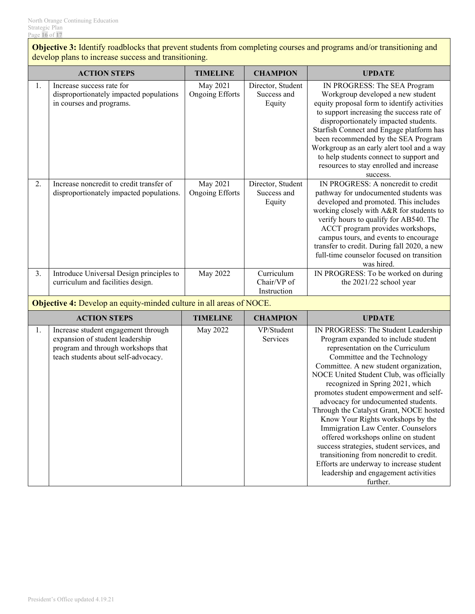**Objective 3:** Identify roadblocks that prevent students from completing courses and programs and/or transitioning and develop plans to increase success and transitioning.

|    | <b>ACTION STEPS</b>                                                                              | <b>TIMELINE</b>                    | <b>CHAMPION</b>                            | <b>UPDATE</b>                                                                                                                                                                                                                                                                                                                                                                                                                             |
|----|--------------------------------------------------------------------------------------------------|------------------------------------|--------------------------------------------|-------------------------------------------------------------------------------------------------------------------------------------------------------------------------------------------------------------------------------------------------------------------------------------------------------------------------------------------------------------------------------------------------------------------------------------------|
| 1. | Increase success rate for<br>disproportionately impacted populations<br>in courses and programs. | May 2021<br><b>Ongoing Efforts</b> | Director, Student<br>Success and<br>Equity | IN PROGRESS: The SEA Program<br>Workgroup developed a new student<br>equity proposal form to identify activities<br>to support increasing the success rate of<br>disproportionately impacted students.<br>Starfish Connect and Engage platform has<br>been recommended by the SEA Program<br>Workgroup as an early alert tool and a way<br>to help students connect to support and<br>resources to stay enrolled and increase<br>success. |
| 2. | Increase noncredit to credit transfer of<br>disproportionately impacted populations.             | May 2021<br><b>Ongoing Efforts</b> | Director, Student<br>Success and<br>Equity | IN PROGRESS: A noncredit to credit<br>pathway for undocumented students was<br>developed and promoted. This includes<br>working closely with A&R for students to<br>verify hours to qualify for AB540. The<br>ACCT program provides workshops,<br>campus tours, and events to encourage<br>transfer to credit. During fall 2020, a new<br>full-time counselor focused on transition<br>was hired.                                         |
| 3. | Introduce Universal Design principles to<br>curriculum and facilities design.                    | May 2022                           | Curriculum<br>Chair/VP of<br>Instruction   | IN PROGRESS: To be worked on during<br>the 2021/22 school year                                                                                                                                                                                                                                                                                                                                                                            |

**Objective 4:** Develop an equity-minded culture in all areas of NOCE.

|    | <b>ACTION STEPS</b>                                                                                                                                 | TIMELINE | <b>CHAMPION</b>               | <b>UPDATE</b>                                                                                                                                                                                                                                                                                                                                                                                                                                                                                                                                                                                                                                                                                                  |
|----|-----------------------------------------------------------------------------------------------------------------------------------------------------|----------|-------------------------------|----------------------------------------------------------------------------------------------------------------------------------------------------------------------------------------------------------------------------------------------------------------------------------------------------------------------------------------------------------------------------------------------------------------------------------------------------------------------------------------------------------------------------------------------------------------------------------------------------------------------------------------------------------------------------------------------------------------|
| Ι. | Increase student engagement through<br>expansion of student leadership<br>program and through workshops that<br>teach students about self-advocacy. | May 2022 | VP/Student<br><b>Services</b> | IN PROGRESS: The Student Leadership<br>Program expanded to include student<br>representation on the Curriculum<br>Committee and the Technology<br>Committee. A new student organization,<br>NOCE United Student Club, was officially<br>recognized in Spring 2021, which<br>promotes student empowerment and self-<br>advocacy for undocumented students.<br>Through the Catalyst Grant, NOCE hosted<br>Know Your Rights workshops by the<br>Immigration Law Center. Counselors<br>offered workshops online on student<br>success strategies, student services, and<br>transitioning from noncredit to credit.<br>Efforts are underway to increase student<br>leadership and engagement activities<br>further. |